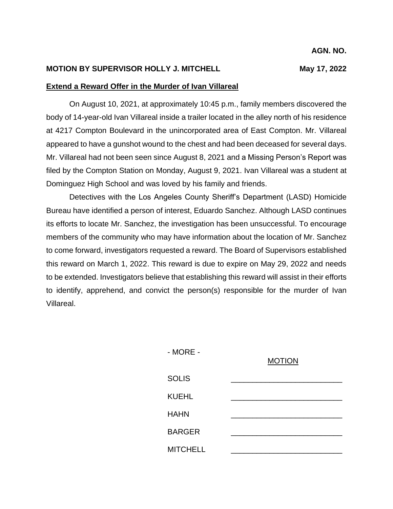## **MOTION BY SUPERVISOR HOLLY J. MITCHELL MAY 17, 2022**

## **Extend a Reward Offer in the Murder of Ivan Villareal**

On August 10, 2021, at approximately 10:45 p.m., family members discovered the body of 14-year-old Ivan Villareal inside a trailer located in the alley north of his residence at 4217 Compton Boulevard in the unincorporated area of East Compton. Mr. Villareal appeared to have a gunshot wound to the chest and had been deceased for several days. Mr. Villareal had not been seen since August 8, 2021 and a Missing Person's Report was filed by the Compton Station on Monday, August 9, 2021. Ivan Villareal was a student at Dominguez High School and was loved by his family and friends.

Detectives with the Los Angeles County Sheriff's Department (LASD) Homicide Bureau have identified a person of interest, Eduardo Sanchez. Although LASD continues its efforts to locate Mr. Sanchez, the investigation has been unsuccessful. To encourage members of the community who may have information about the location of Mr. Sanchez to come forward, investigators requested a reward. The Board of Supervisors established this reward on March 1, 2022. This reward is due to expire on May 29, 2022 and needs to be extended. Investigators believe that establishing this reward will assist in their efforts to identify, apprehend, and convict the person(s) responsible for the murder of Ivan Villareal.

| $-MORE -$       | <b>MOTION</b> |
|-----------------|---------------|
| <b>SOLIS</b>    |               |
| <b>KUEHL</b>    |               |
| <b>HAHN</b>     |               |
| <b>BARGER</b>   |               |
| <b>MITCHELL</b> |               |